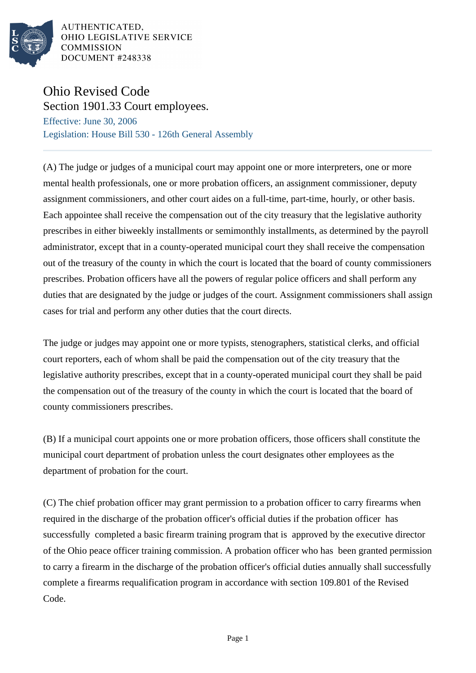

AUTHENTICATED, OHIO LEGISLATIVE SERVICE **COMMISSION** DOCUMENT #248338

## Ohio Revised Code Section 1901.33 Court employees.

Effective: June 30, 2006 Legislation: House Bill 530 - 126th General Assembly

(A) The judge or judges of a municipal court may appoint one or more interpreters, one or more mental health professionals, one or more probation officers, an assignment commissioner, deputy assignment commissioners, and other court aides on a full-time, part-time, hourly, or other basis. Each appointee shall receive the compensation out of the city treasury that the legislative authority prescribes in either biweekly installments or semimonthly installments, as determined by the payroll administrator, except that in a county-operated municipal court they shall receive the compensation out of the treasury of the county in which the court is located that the board of county commissioners prescribes. Probation officers have all the powers of regular police officers and shall perform any duties that are designated by the judge or judges of the court. Assignment commissioners shall assign cases for trial and perform any other duties that the court directs.

The judge or judges may appoint one or more typists, stenographers, statistical clerks, and official court reporters, each of whom shall be paid the compensation out of the city treasury that the legislative authority prescribes, except that in a county-operated municipal court they shall be paid the compensation out of the treasury of the county in which the court is located that the board of county commissioners prescribes.

(B) If a municipal court appoints one or more probation officers, those officers shall constitute the municipal court department of probation unless the court designates other employees as the department of probation for the court.

(C) The chief probation officer may grant permission to a probation officer to carry firearms when required in the discharge of the probation officer's official duties if the probation officer has successfully completed a basic firearm training program that is approved by the executive director of the Ohio peace officer training commission. A probation officer who has been granted permission to carry a firearm in the discharge of the probation officer's official duties annually shall successfully complete a firearms requalification program in accordance with section 109.801 of the Revised Code.